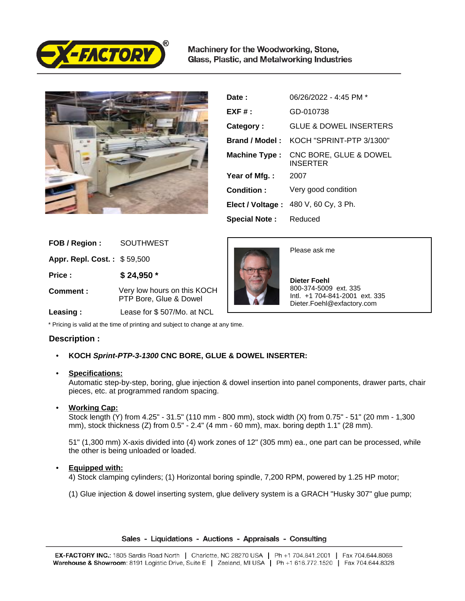

Machinery for the Woodworking, Stone, Glass, Plastic, and Metalworking Industries



| Date :               | 06/26/2022 - 4:45 PM *                    |
|----------------------|-------------------------------------------|
| $EXF#$ :             | GD-010738                                 |
| Category:            | <b>GLUE &amp; DOWEL INSERTERS</b>         |
| Brand / Model:       | KOCH "SPRINT-PTP 3/1300"                  |
| <b>Machine Type:</b> | CNC BORE, GLUE & DOWEL<br><b>INSERTER</b> |
| Year of Mfg.:        | 2007                                      |
| Condition:           | Very good condition                       |
|                      | Elect / Voltage: 480 V, 60 Cy, 3 Ph.      |
| <b>Special Note:</b> | Reduced                                   |

| FOB / Region:               | <b>SOUTHWEST</b>                                      |
|-----------------------------|-------------------------------------------------------|
| Appr. Repl. Cost.: \$59,500 |                                                       |
| Price:                      | $$24,950*$                                            |
| Comment:                    | Very low hours on this KOCH<br>PTP Bore, Glue & Dowel |
| Loseina ·                   | Logge for $\ell$ 507/Mo at NCL                        |



Please ask me

 **Dieter Foehl** 800-374-5009 ext. 335 Intl. +1 704-841-2001 ext. 335 Dieter.Foehl@exfactory.com

 **Leasing :** Lease for \$ 507/Mo. at NCL

\* Pricing is valid at the time of printing and subject to change at any time.

## **Description :**

# • **KOCH Sprint-PTP-3-1300 CNC BORE, GLUE & DOWEL INSERTER:**

## • **Specifications:**

Automatic step-by-step, boring, glue injection & dowel insertion into panel components, drawer parts, chair pieces, etc. at programmed random spacing.

## • **Working Cap:**

Stock length (Y) from 4.25" - 31.5" (110 mm - 800 mm), stock width (X) from 0.75" - 51" (20 mm - 1,300 mm), stock thickness (Z) from 0.5" - 2.4" (4 mm - 60 mm), max. boring depth 1.1" (28 mm).

51" (1,300 mm) X-axis divided into (4) work zones of 12" (305 mm) ea., one part can be processed, while the other is being unloaded or loaded.

## • **Equipped with:**

4) Stock clamping cylinders; (1) Horizontal boring spindle, 7,200 RPM, powered by 1.25 HP motor;

(1) Glue injection & dowel inserting system, glue delivery system is a GRACH "Husky 307" glue pump;

Sales - Liquidations - Auctions - Appraisals - Consulting